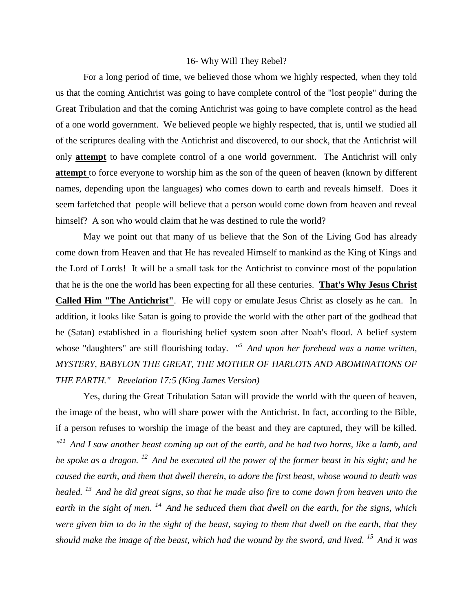## 16- Why Will They Rebel?

For a long period of time, we believed those whom we highly respected, when they told us that the coming Antichrist was going to have complete control of the "lost people" during the Great Tribulation and that the coming Antichrist was going to have complete control as the head of a one world government. We believed people we highly respected, that is, until we studied all of the scriptures dealing with the Antichrist and discovered, to our shock, that the Antichrist will only **attempt** to have complete control of a one world government. The Antichrist will only **attempt** to force everyone to worship him as the son of the queen of heaven (known by different names, depending upon the languages) who comes down to earth and reveals himself. Does it seem farfetched that people will believe that a person would come down from heaven and reveal himself? A son who would claim that he was destined to rule the world?

May we point out that many of us believe that the Son of the Living God has already come down from Heaven and that He has revealed Himself to mankind as the King of Kings and the Lord of Lords! It will be a small task for the Antichrist to convince most of the population that he is the one the world has been expecting for all these centuries. **That's Why Jesus Christ Called Him "The Antichrist"**. He will copy or emulate Jesus Christ as closely as he can. In addition, it looks like Satan is going to provide the world with the other part of the godhead that he (Satan) established in a flourishing belief system soon after Noah's flood. A belief system whose "daughters" are still flourishing today. *" <sup>5</sup>And upon her forehead was a name written, MYSTERY, BABYLON THE GREAT, THE MOTHER OF HARLOTS AND ABOMINATIONS OF THE EARTH." Revelation 17:5 (King James Version)*

Yes, during the Great Tribulation Satan will provide the world with the queen of heaven, the image of the beast, who will share power with the Antichrist. In fact, according to the Bible, if a person refuses to worship the image of the beast and they are captured, they will be killed. *" <sup>11</sup>And I saw another beast coming up out of the earth, and he had two horns, like a lamb, and he spoke as a dragon. <sup>12</sup>And he executed all the power of the former beast in his sight; and he caused the earth, and them that dwell therein, to adore the first beast, whose wound to death was healed. <sup>13</sup>And he did great signs, so that he made also fire to come down from heaven unto the earth in the sight of men. <sup>14</sup>And he seduced them that dwell on the earth, for the signs, which were given him to do in the sight of the beast, saying to them that dwell on the earth, that they should make the image of the beast, which had the wound by the sword, and lived. <sup>15</sup>And it was*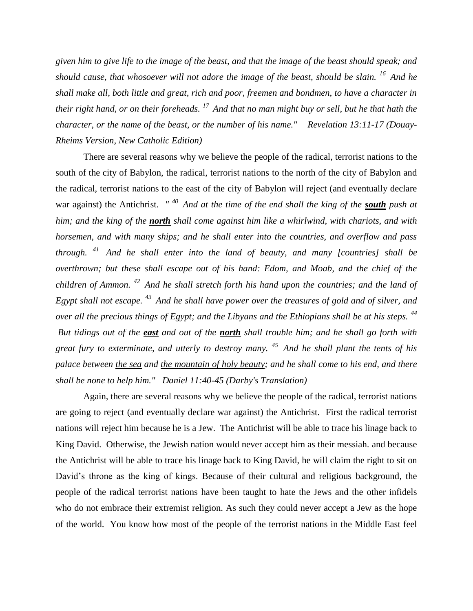*given him to give life to the image of the beast, and that the image of the beast should speak; and should cause, that whosoever will not adore the image of the beast, should be slain. <sup>16</sup>And he shall make all, both little and great, rich and poor, freemen and bondmen, to have a character in their right hand, or on their foreheads. <sup>17</sup>And that no man might buy or sell, but he that hath the character, or the name of the beast, or the number of his name." Revelation 13:11-17 (Douay-Rheims Version, New Catholic Edition)*

There are several reasons why we believe the people of the radical, terrorist nations to the south of the city of Babylon, the radical, terrorist nations to the north of the city of Babylon and the radical, terrorist nations to the east of the city of Babylon will reject (and eventually declare war against) the Antichrist. *"* <sup>40</sup> And at the time of the end shall the king of the **south** push at *him; and the king of the north shall come against him like a whirlwind, with chariots, and with horsemen, and with many ships; and he shall enter into the countries, and overflow and pass through. <sup>41</sup>And he shall enter into the land of beauty, and many [countries] shall be overthrown; but these shall escape out of his hand: Edom, and Moab, and the chief of the children of Ammon. <sup>42</sup>And he shall stretch forth his hand upon the countries; and the land of Egypt shall not escape. <sup>43</sup>And he shall have power over the treasures of gold and of silver, and over all the precious things of Egypt; and the Libyans and the Ethiopians shall be at his steps. <sup>44</sup> But tidings out of the east and out of the north shall trouble him; and he shall go forth with great fury to exterminate, and utterly to destroy many. <sup>45</sup>And he shall plant the tents of his palace between the sea and the mountain of holy beauty; and he shall come to his end, and there shall be none to help him." Daniel 11:40-45 (Darby's Translation)*

Again, there are several reasons why we believe the people of the radical, terrorist nations are going to reject (and eventually declare war against) the Antichrist. First the radical terrorist nations will reject him because he is a Jew. The Antichrist will be able to trace his linage back to King David. Otherwise, the Jewish nation would never accept him as their messiah. and because the Antichrist will be able to trace his linage back to King David, he will claim the right to sit on David's throne as the king of kings. Because of their cultural and religious background, the people of the radical terrorist nations have been taught to hate the Jews and the other infidels who do not embrace their extremist religion. As such they could never accept a Jew as the hope of the world. You know how most of the people of the terrorist nations in the Middle East feel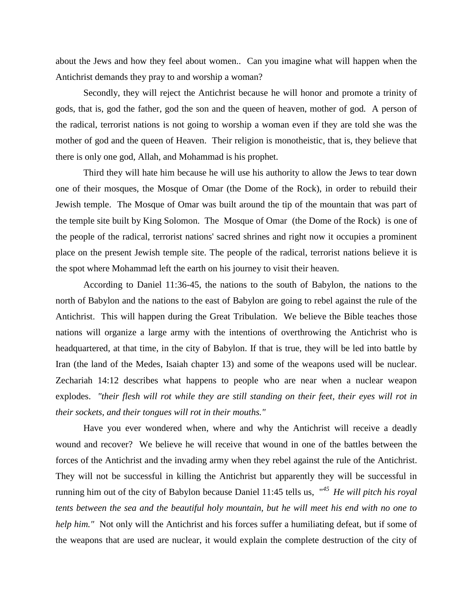about the Jews and how they feel about women.. Can you imagine what will happen when the Antichrist demands they pray to and worship a woman?

Secondly, they will reject the Antichrist because he will honor and promote a trinity of gods, that is, god the father, god the son and the queen of heaven, mother of god*.* A person of the radical, terrorist nations is not going to worship a woman even if they are told she was the mother of god and the queen of Heaven. Their religion is monotheistic, that is, they believe that there is only one god, Allah, and Mohammad is his prophet.

Third they will hate him because he will use his authority to allow the Jews to tear down one of their mosques, the Mosque of Omar (the Dome of the Rock), in order to rebuild their Jewish temple. The Mosque of Omar was built around the tip of the mountain that was part of the temple site built by King Solomon. The Mosque of Omar (the Dome of the Rock) is one of the people of the radical, terrorist nations' sacred shrines and right now it occupies a prominent place on the present Jewish temple site. The people of the radical, terrorist nations believe it is the spot where Mohammad left the earth on his journey to visit their heaven.

According to Daniel 11:36-45, the nations to the south of Babylon, the nations to the north of Babylon and the nations to the east of Babylon are going to rebel against the rule of the Antichrist. This will happen during the Great Tribulation. We believe the Bible teaches those nations will organize a large army with the intentions of overthrowing the Antichrist who is headquartered, at that time, in the city of Babylon. If that is true, they will be led into battle by Iran (the land of the Medes, Isaiah chapter 13) and some of the weapons used will be nuclear. Zechariah 14:12 describes what happens to people who are near when a nuclear weapon explodes. *"their flesh will rot while they are still standing on their feet, their eyes will rot in their sockets, and their tongues will rot in their mouths."* 

Have you ever wondered when, where and why the Antichrist will receive a deadly wound and recover? We believe he will receive that wound in one of the battles between the forces of the Antichrist and the invading army when they rebel against the rule of the Antichrist. They will not be successful in killing the Antichrist but apparently they will be successful in running him out of the city of Babylon because Daniel 11:45 tells us, "*<sup>45</sup>He will pitch his royal tents between the sea and the beautiful holy mountain, but he will meet his end with no one to help him.*" Not only will the Antichrist and his forces suffer a humiliating defeat, but if some of the weapons that are used are nuclear, it would explain the complete destruction of the city of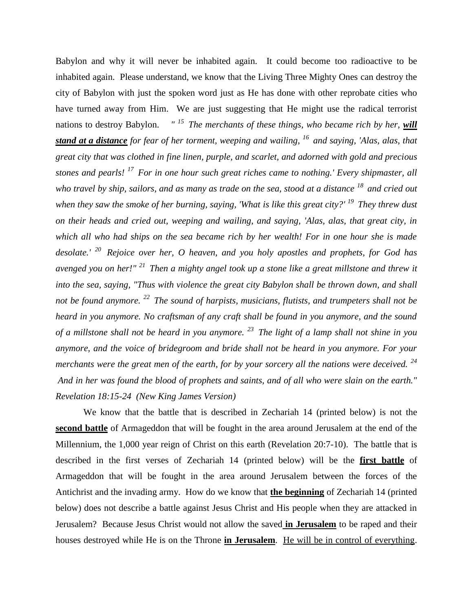Babylon and why it will never be inhabited again. It could become too radioactive to be inhabited again. Please understand, we know that the Living Three Mighty Ones can destroy the city of Babylon with just the spoken word just as He has done with other reprobate cities who have turned away from Him. We are just suggesting that He might use the radical terrorist nations to destroy Babylon. *" <sup>15</sup>The merchants of these things, who became rich by her, will stand at a distance for fear of her torment, weeping and wailing, <sup>16</sup>and saying, 'Alas, alas, that great city that was clothed in fine linen, purple, and scarlet, and adorned with gold and precious stones and pearls! <sup>17</sup>For in one hour such great riches came to nothing.' Every shipmaster, all who travel by ship, sailors, and as many as trade on the sea, stood at a distance <sup>18</sup>and cried out when they saw the smoke of her burning, saying, 'What is like this great city?' <sup>19</sup>They threw dust on their heads and cried out, weeping and wailing, and saying, 'Alas, alas, that great city, in which all who had ships on the sea became rich by her wealth! For in one hour she is made desolate.' <sup>20</sup>Rejoice over her, O heaven, and you holy apostles and prophets, for God has avenged you on her!" <sup>21</sup>Then a mighty angel took up a stone like a great millstone and threw it into the sea, saying, "Thus with violence the great city Babylon shall be thrown down, and shall not be found anymore. <sup>22</sup>The sound of harpists, musicians, flutists, and trumpeters shall not be heard in you anymore. No craftsman of any craft shall be found in you anymore, and the sound of a millstone shall not be heard in you anymore. <sup>23</sup>The light of a lamp shall not shine in you anymore, and the voice of bridegroom and bride shall not be heard in you anymore. For your merchants were the great men of the earth, for by your sorcery all the nations were deceived. <sup>24</sup> And in her was found the blood of prophets and saints, and of all who were slain on the earth." Revelation 18:15-24 (New King James Version)* 

We know that the battle that is described in Zechariah 14 (printed below) is not the **second battle** of Armageddon that will be fought in the area around Jerusalem at the end of the Millennium, the 1,000 year reign of Christ on this earth (Revelation 20:7-10). The battle that is described in the first verses of Zechariah 14 (printed below) will be the **first battle** of Armageddon that will be fought in the area around Jerusalem between the forces of the Antichrist and the invading army. How do we know that **the beginning** of Zechariah 14 (printed below) does not describe a battle against Jesus Christ and His people when they are attacked in Jerusalem? Because Jesus Christ would not allow the saved **in Jerusalem** to be raped and their houses destroyed while He is on the Throne **in Jerusalem**. He will be in control of everything.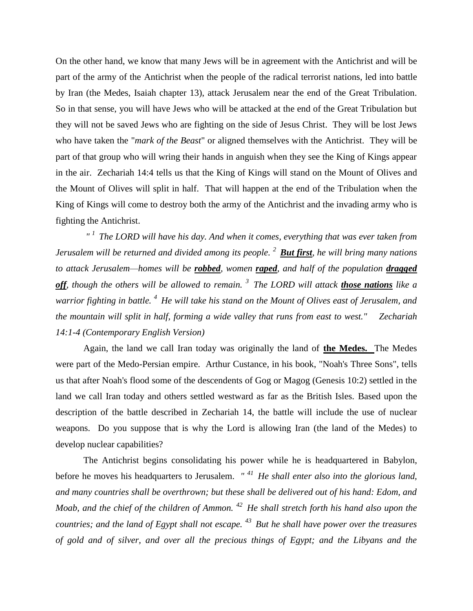On the other hand, we know that many Jews will be in agreement with the Antichrist and will be part of the army of the Antichrist when the people of the radical terrorist nations, led into battle by Iran (the Medes, Isaiah chapter 13), attack Jerusalem near the end of the Great Tribulation. So in that sense, you will have Jews who will be attacked at the end of the Great Tribulation but they will not be saved Jews who are fighting on the side of Jesus Christ. They will be lost Jews who have taken the "*mark of the Beast*" or aligned themselves with the Antichrist. They will be part of that group who will wring their hands in anguish when they see the King of Kings appear in the air. Zechariah 14:4 tells us that the King of Kings will stand on the Mount of Olives and the Mount of Olives will split in half. That will happen at the end of the Tribulation when the King of Kings will come to destroy both the army of the Antichrist and the invading army who is fighting the Antichrist.

*" <sup>1</sup>The LORD will have his day. And when it comes, everything that was ever taken from Jerusalem will be returned and divided among its people. <sup>2</sup>But first, he will bring many nations to attack Jerusalem—homes will be robbed, women raped, and half of the population dragged off, though the others will be allowed to remain. <sup>3</sup>The LORD will attack those nations like a warrior fighting in battle. <sup>4</sup>He will take his stand on the Mount of Olives east of Jerusalem, and the mountain will split in half, forming a wide valley that runs from east to west." Zechariah 14:1-4 (Contemporary English Version)*

Again, the land we call Iran today was originally the land of **the Medes.** The Medes were part of the Medo-Persian empire. Arthur Custance, in his book, "Noah's Three Sons", tells us that after Noah's flood some of the descendents of Gog or Magog (Genesis 10:2) settled in the land we call Iran today and others settled westward as far as the British Isles. Based upon the description of the battle described in Zechariah 14, the battle will include the use of nuclear weapons. Do you suppose that is why the Lord is allowing Iran (the land of the Medes) to develop nuclear capabilities?

The Antichrist begins consolidating his power while he is headquartered in Babylon, before he moves his headquarters to Jerusalem. *" <sup>41</sup>He shall enter also into the glorious land, and many countries shall be overthrown; but these shall be delivered out of his hand: Edom, and Moab, and the chief of the children of Ammon. <sup>42</sup>He shall stretch forth his hand also upon the countries; and the land of Egypt shall not escape. <sup>43</sup>But he shall have power over the treasures of gold and of silver, and over all the precious things of Egypt; and the Libyans and the*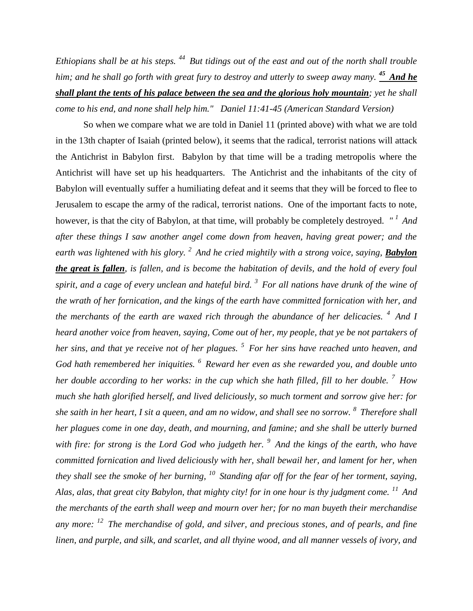*Ethiopians shall be at his steps. <sup>44</sup>But tidings out of the east and out of the north shall trouble him; and he shall go forth with great fury to destroy and utterly to sweep away many. <sup>45</sup>And he shall plant the tents of his palace between the sea and the glorious holy mountain; yet he shall come to his end, and none shall help him." Daniel 11:41-45 (American Standard Version)*

So when we compare what we are told in Daniel 11 (printed above) with what we are told in the 13th chapter of Isaiah (printed below), it seems that the radical, terrorist nations will attack the Antichrist in Babylon first. Babylon by that time will be a trading metropolis where the Antichrist will have set up his headquarters. The Antichrist and the inhabitants of the city of Babylon will eventually suffer a humiliating defeat and it seems that they will be forced to flee to Jerusalem to escape the army of the radical, terrorist nations. One of the important facts to note, however, is that the city of Babylon, at that time, will probably be completely destroyed. *" <sup>1</sup>And after these things I saw another angel come down from heaven, having great power; and the earth was lightened with his glory. <sup>2</sup>And he cried mightily with a strong voice, saying, Babylon the great is fallen, is fallen, and is become the habitation of devils, and the hold of every foul spirit, and a cage of every unclean and hateful bird. <sup>3</sup>For all nations have drunk of the wine of the wrath of her fornication, and the kings of the earth have committed fornication with her, and the merchants of the earth are waxed rich through the abundance of her delicacies. <sup>4</sup>And I heard another voice from heaven, saying, Come out of her, my people, that ye be not partakers of her sins, and that ye receive not of her plagues. <sup>5</sup>For her sins have reached unto heaven, and God hath remembered her iniquities. <sup>6</sup>Reward her even as she rewarded you, and double unto her double according to her works: in the cup which she hath filled, fill to her double. <sup>7</sup>How much she hath glorified herself, and lived deliciously, so much torment and sorrow give her: for she saith in her heart, I sit a queen, and am no widow, and shall see no sorrow. <sup>8</sup>Therefore shall her plagues come in one day, death, and mourning, and famine; and she shall be utterly burned with fire: for strong is the Lord God who judgeth her. <sup>9</sup>And the kings of the earth, who have committed fornication and lived deliciously with her, shall bewail her, and lament for her, when they shall see the smoke of her burning, <sup>10</sup>Standing afar off for the fear of her torment, saying, Alas, alas, that great city Babylon, that mighty city! for in one hour is thy judgment come. <sup>11</sup>And the merchants of the earth shall weep and mourn over her; for no man buyeth their merchandise any more: <sup>12</sup>The merchandise of gold, and silver, and precious stones, and of pearls, and fine linen, and purple, and silk, and scarlet, and all thyine wood, and all manner vessels of ivory, and*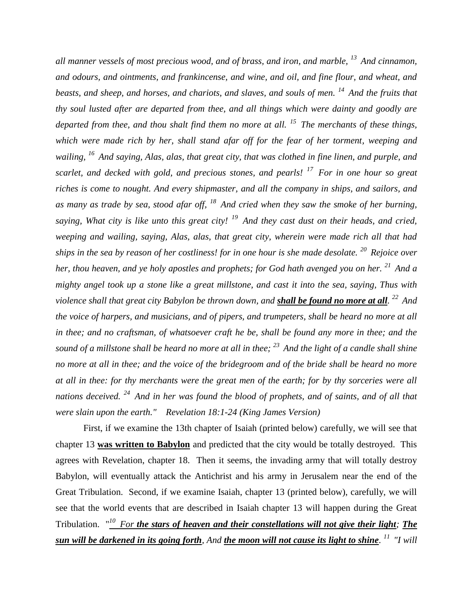*all manner vessels of most precious wood, and of brass, and iron, and marble, <sup>13</sup>And cinnamon, and odours, and ointments, and frankincense, and wine, and oil, and fine flour, and wheat, and beasts, and sheep, and horses, and chariots, and slaves, and souls of men. <sup>14</sup>And the fruits that thy soul lusted after are departed from thee, and all things which were dainty and goodly are departed from thee, and thou shalt find them no more at all. <sup>15</sup>The merchants of these things, which were made rich by her, shall stand afar off for the fear of her torment, weeping and wailing, <sup>16</sup>And saying, Alas, alas, that great city, that was clothed in fine linen, and purple, and scarlet, and decked with gold, and precious stones, and pearls! <sup>17</sup>For in one hour so great riches is come to nought. And every shipmaster, and all the company in ships, and sailors, and as many as trade by sea, stood afar off, <sup>18</sup>And cried when they saw the smoke of her burning, saying, What city is like unto this great city! <sup>19</sup>And they cast dust on their heads, and cried, weeping and wailing, saying, Alas, alas, that great city, wherein were made rich all that had ships in the sea by reason of her costliness! for in one hour is she made desolate. <sup>20</sup>Rejoice over her, thou heaven, and ye holy apostles and prophets; for God hath avenged you on her. <sup>21</sup>And a mighty angel took up a stone like a great millstone, and cast it into the sea, saying, Thus with violence shall that great city Babylon be thrown down, and shall be found no more at all. <sup>22</sup>And the voice of harpers, and musicians, and of pipers, and trumpeters, shall be heard no more at all in thee; and no craftsman, of whatsoever craft he be, shall be found any more in thee; and the sound of a millstone shall be heard no more at all in thee; <sup>23</sup>And the light of a candle shall shine no more at all in thee; and the voice of the bridegroom and of the bride shall be heard no more at all in thee: for thy merchants were the great men of the earth; for by thy sorceries were all nations deceived. <sup>24</sup>And in her was found the blood of prophets, and of saints, and of all that were slain upon the earth." Revelation 18:1-24 (King James Version)* 

First, if we examine the 13th chapter of Isaiah (printed below) carefully, we will see that chapter 13 **was written to Babylon** and predicted that the city would be totally destroyed. This agrees with Revelation, chapter 18. Then it seems, the invading army that will totally destroy Babylon, will eventually attack the Antichrist and his army in Jerusalem near the end of the Great Tribulation. Second, if we examine Isaiah, chapter 13 (printed below), carefully, we will see that the world events that are described in Isaiah chapter 13 will happen during the Great Tribulation. "*<sup>10</sup>For the stars of heaven and their constellations will not give their light; The sun will be darkened in its going forth, And the moon will not cause its light to shine. <sup>11</sup>"I will*